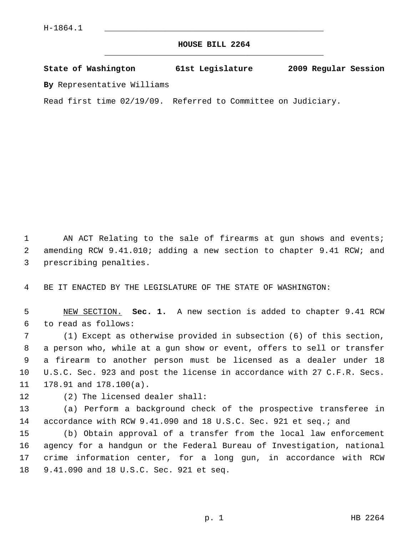## **HOUSE BILL 2264** \_\_\_\_\_\_\_\_\_\_\_\_\_\_\_\_\_\_\_\_\_\_\_\_\_\_\_\_\_\_\_\_\_\_\_\_\_\_\_\_\_\_\_\_\_

**State of Washington 61st Legislature 2009 Regular Session**

**By** Representative Williams

Read first time 02/19/09. Referred to Committee on Judiciary.

1 AN ACT Relating to the sale of firearms at gun shows and events; 2 amending RCW 9.41.010; adding a new section to chapter 9.41 RCW; and 3 prescribing penalties.

4 BE IT ENACTED BY THE LEGISLATURE OF THE STATE OF WASHINGTON:

 5 NEW SECTION. **Sec. 1.** A new section is added to chapter 9.41 RCW 6 to read as follows:

 7 (1) Except as otherwise provided in subsection (6) of this section, 8 a person who, while at a gun show or event, offers to sell or transfer 9 a firearm to another person must be licensed as a dealer under 18 10 U.S.C. Sec. 923 and post the license in accordance with 27 C.F.R. Secs. 11 178.91 and 178.100(a).

12 (2) The licensed dealer shall:

13 (a) Perform a background check of the prospective transferee in 14 accordance with RCW 9.41.090 and 18 U.S.C. Sec. 921 et seq.; and

15 (b) Obtain approval of a transfer from the local law enforcement 16 agency for a handgun or the Federal Bureau of Investigation, national 17 crime information center, for a long gun, in accordance with RCW 18 9.41.090 and 18 U.S.C. Sec. 921 et seq.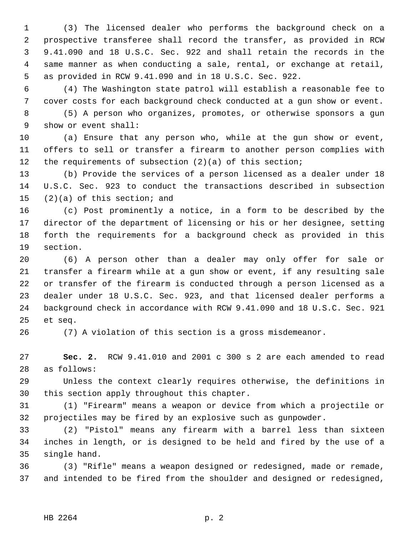1 (3) The licensed dealer who performs the background check on a 2 prospective transferee shall record the transfer, as provided in RCW 3 9.41.090 and 18 U.S.C. Sec. 922 and shall retain the records in the 4 same manner as when conducting a sale, rental, or exchange at retail, 5 as provided in RCW 9.41.090 and in 18 U.S.C. Sec. 922.

 6 (4) The Washington state patrol will establish a reasonable fee to 7 cover costs for each background check conducted at a gun show or event.

 8 (5) A person who organizes, promotes, or otherwise sponsors a gun 9 show or event shall:

10 (a) Ensure that any person who, while at the gun show or event, 11 offers to sell or transfer a firearm to another person complies with 12 the requirements of subsection (2)(a) of this section;

13 (b) Provide the services of a person licensed as a dealer under 18 14 U.S.C. Sec. 923 to conduct the transactions described in subsection 15 (2)(a) of this section; and

16 (c) Post prominently a notice, in a form to be described by the 17 director of the department of licensing or his or her designee, setting 18 forth the requirements for a background check as provided in this 19 section.

20 (6) A person other than a dealer may only offer for sale or 21 transfer a firearm while at a gun show or event, if any resulting sale 22 or transfer of the firearm is conducted through a person licensed as a 23 dealer under 18 U.S.C. Sec. 923, and that licensed dealer performs a 24 background check in accordance with RCW 9.41.090 and 18 U.S.C. Sec. 921 25 et seq.

26 (7) A violation of this section is a gross misdemeanor.

27 **Sec. 2.** RCW 9.41.010 and 2001 c 300 s 2 are each amended to read 28 as follows:

29 Unless the context clearly requires otherwise, the definitions in 30 this section apply throughout this chapter.

31 (1) "Firearm" means a weapon or device from which a projectile or 32 projectiles may be fired by an explosive such as gunpowder.

33 (2) "Pistol" means any firearm with a barrel less than sixteen 34 inches in length, or is designed to be held and fired by the use of a 35 single hand.

36 (3) "Rifle" means a weapon designed or redesigned, made or remade, 37 and intended to be fired from the shoulder and designed or redesigned,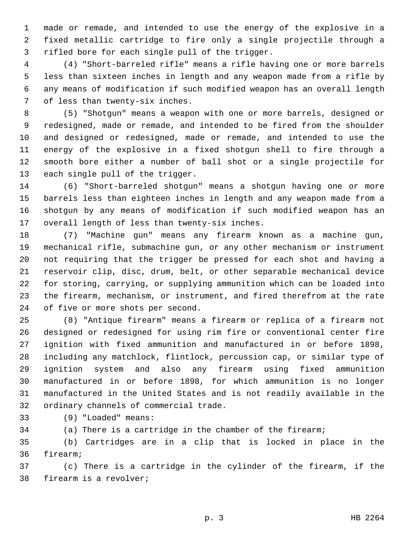1 made or remade, and intended to use the energy of the explosive in a 2 fixed metallic cartridge to fire only a single projectile through a 3 rifled bore for each single pull of the trigger.

 4 (4) "Short-barreled rifle" means a rifle having one or more barrels 5 less than sixteen inches in length and any weapon made from a rifle by 6 any means of modification if such modified weapon has an overall length 7 of less than twenty-six inches.

 8 (5) "Shotgun" means a weapon with one or more barrels, designed or 9 redesigned, made or remade, and intended to be fired from the shoulder 10 and designed or redesigned, made or remade, and intended to use the 11 energy of the explosive in a fixed shotgun shell to fire through a 12 smooth bore either a number of ball shot or a single projectile for 13 each single pull of the trigger.

14 (6) "Short-barreled shotgun" means a shotgun having one or more 15 barrels less than eighteen inches in length and any weapon made from a 16 shotgun by any means of modification if such modified weapon has an 17 overall length of less than twenty-six inches.

18 (7) "Machine gun" means any firearm known as a machine gun, 19 mechanical rifle, submachine gun, or any other mechanism or instrument 20 not requiring that the trigger be pressed for each shot and having a 21 reservoir clip, disc, drum, belt, or other separable mechanical device 22 for storing, carrying, or supplying ammunition which can be loaded into 23 the firearm, mechanism, or instrument, and fired therefrom at the rate 24 of five or more shots per second.

25 (8) "Antique firearm" means a firearm or replica of a firearm not 26 designed or redesigned for using rim fire or conventional center fire 27 ignition with fixed ammunition and manufactured in or before 1898, 28 including any matchlock, flintlock, percussion cap, or similar type of 29 ignition system and also any firearm using fixed ammunition 30 manufactured in or before 1898, for which ammunition is no longer 31 manufactured in the United States and is not readily available in the 32 ordinary channels of commercial trade.

33 (9) "Loaded" means:

34 (a) There is a cartridge in the chamber of the firearm;

35 (b) Cartridges are in a clip that is locked in place in the 36 firearm;

37 (c) There is a cartridge in the cylinder of the firearm, if the 38 firearm is a revolver;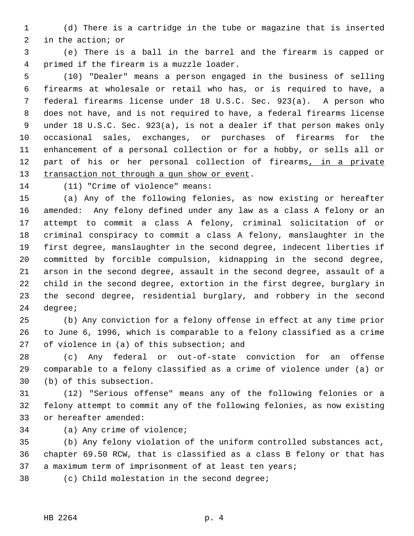1 (d) There is a cartridge in the tube or magazine that is inserted 2 in the action; or

 3 (e) There is a ball in the barrel and the firearm is capped or 4 primed if the firearm is a muzzle loader.

 5 (10) "Dealer" means a person engaged in the business of selling 6 firearms at wholesale or retail who has, or is required to have, a 7 federal firearms license under 18 U.S.C. Sec. 923(a). A person who 8 does not have, and is not required to have, a federal firearms license 9 under 18 U.S.C. Sec. 923(a), is not a dealer if that person makes only 10 occasional sales, exchanges, or purchases of firearms for the 11 enhancement of a personal collection or for a hobby, or sells all or 12 part of his or her personal collection of firearms, in a private 13 transaction not through a gun show or event.

14 (11) "Crime of violence" means:

15 (a) Any of the following felonies, as now existing or hereafter 16 amended: Any felony defined under any law as a class A felony or an 17 attempt to commit a class A felony, criminal solicitation of or 18 criminal conspiracy to commit a class A felony, manslaughter in the 19 first degree, manslaughter in the second degree, indecent liberties if 20 committed by forcible compulsion, kidnapping in the second degree, 21 arson in the second degree, assault in the second degree, assault of a 22 child in the second degree, extortion in the first degree, burglary in 23 the second degree, residential burglary, and robbery in the second 24 degree;

25 (b) Any conviction for a felony offense in effect at any time prior 26 to June 6, 1996, which is comparable to a felony classified as a crime 27 of violence in (a) of this subsection; and

28 (c) Any federal or out-of-state conviction for an offense 29 comparable to a felony classified as a crime of violence under (a) or 30 (b) of this subsection.

31 (12) "Serious offense" means any of the following felonies or a 32 felony attempt to commit any of the following felonies, as now existing 33 or hereafter amended:

34 (a) Any crime of violence;

35 (b) Any felony violation of the uniform controlled substances act, 36 chapter 69.50 RCW, that is classified as a class B felony or that has 37 a maximum term of imprisonment of at least ten years;

- 
- 38 (c) Child molestation in the second degree;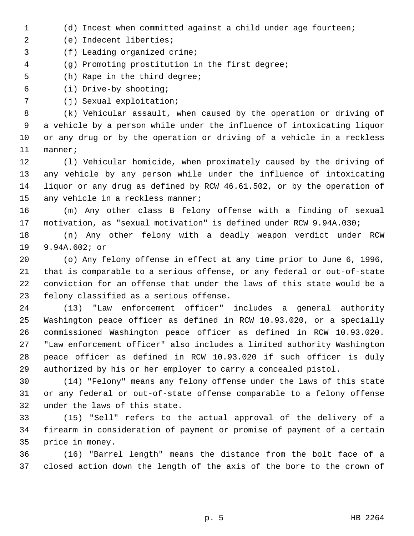1 (d) Incest when committed against a child under age fourteen;

2 (e) Indecent liberties;

- 3 (f) Leading organized crime;
- 4 (g) Promoting prostitution in the first degree;
- 5 (h) Rape in the third degree;
- 6 (i) Drive-by shooting;
- 7 (j) Sexual exploitation;

 8 (k) Vehicular assault, when caused by the operation or driving of 9 a vehicle by a person while under the influence of intoxicating liquor 10 or any drug or by the operation or driving of a vehicle in a reckless 11 manner;

12 (l) Vehicular homicide, when proximately caused by the driving of 13 any vehicle by any person while under the influence of intoxicating 14 liquor or any drug as defined by RCW 46.61.502, or by the operation of 15 any vehicle in a reckless manner;

16 (m) Any other class B felony offense with a finding of sexual 17 motivation, as "sexual motivation" is defined under RCW 9.94A.030;

18 (n) Any other felony with a deadly weapon verdict under RCW 19 9.94A.602; or

20 (o) Any felony offense in effect at any time prior to June 6, 1996, 21 that is comparable to a serious offense, or any federal or out-of-state 22 conviction for an offense that under the laws of this state would be a 23 felony classified as a serious offense.

24 (13) "Law enforcement officer" includes a general authority 25 Washington peace officer as defined in RCW 10.93.020, or a specially 26 commissioned Washington peace officer as defined in RCW 10.93.020. 27 "Law enforcement officer" also includes a limited authority Washington 28 peace officer as defined in RCW 10.93.020 if such officer is duly 29 authorized by his or her employer to carry a concealed pistol.

30 (14) "Felony" means any felony offense under the laws of this state 31 or any federal or out-of-state offense comparable to a felony offense 32 under the laws of this state.

33 (15) "Sell" refers to the actual approval of the delivery of a 34 firearm in consideration of payment or promise of payment of a certain 35 price in money.

36 (16) "Barrel length" means the distance from the bolt face of a 37 closed action down the length of the axis of the bore to the crown of